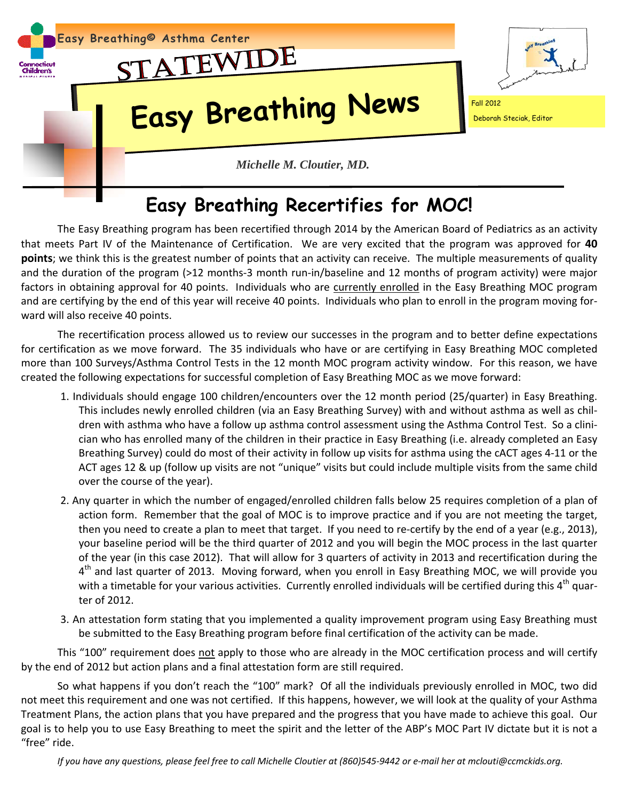

## **Easy Breathing Recertifies for MOC!**

The Easy Breathing program has been recertified through 2014 by the American Board of Pediatrics as an activity that meets Part IV of the Maintenance of Certification. We are very excited that the program was approved for **40 points**; we think this is the greatest number of points that an activity can receive. The multiple measurements of quality and the duration of the program (>12 months-3 month run-in/baseline and 12 months of program activity) were major factors in obtaining approval for 40 points. Individuals who are currently enrolled in the Easy Breathing MOC program and are certifying by the end of this year will receive 40 points. Individuals who plan to enroll in the program moving for‐ ward will also receive 40 points.

 The recertification process allowed us to review our successes in the program and to better define expectations for certification as we move forward. The 35 individuals who have or are certifying in Easy Breathing MOC completed more than 100 Surveys/Asthma Control Tests in the 12 month MOC program activity window. For this reason, we have created the following expectations for successful completion of Easy Breathing MOC as we move forward:

- 1. Individuals should engage 100 children/encounters over the 12 month period (25/quarter) in Easy Breathing. This includes newly enrolled children (via an Easy Breathing Survey) with and without asthma as well as chil‐ dren with asthma who have a follow up asthma control assessment using the Asthma Control Test. So a clini‐ cian who has enrolled many of the children in their practice in Easy Breathing (i.e. already completed an Easy Breathing Survey) could do most of their activity in follow up visits for asthma using the cACT ages 4‐11 or the ACT ages 12 & up (follow up visits are not "unique" visits but could include multiple visits from the same child over the course of the year).
- 2. Any quarter in which the number of engaged/enrolled children falls below 25 requires completion of a plan of action form. Remember that the goal of MOC is to improve practice and if you are not meeting the target, then you need to create a plan to meet that target. If you need to re‐certify by the end of a year (e.g., 2013), your baseline period will be the third quarter of 2012 and you will begin the MOC process in the last quarter of the year (in this case 2012). That will allow for 3 quarters of activity in 2013 and recertification during the 4<sup>th</sup> and last quarter of 2013. Moving forward, when you enroll in Easy Breathing MOC, we will provide you with a timetable for your various activities. Currently enrolled individuals will be certified during this  $4<sup>th</sup>$  quarter of 2012.
- 3. An attestation form stating that you implemented a quality improvement program using Easy Breathing must be submitted to the Easy Breathing program before final certification of the activity can be made.

This "100" requirement does not apply to those who are already in the MOC certification process and will certify by the end of 2012 but action plans and a final attestation form are still required.

So what happens if you don't reach the "100" mark? Of all the individuals previously enrolled in MOC, two did not meet this requirement and one was not certified. If this happens, however, we will look at the quality of your Asthma Treatment Plans, the action plans that you have prepared and the progress that you have made to achieve this goal. Our goal is to help you to use Easy Breathing to meet the spirit and the letter of the ABP's MOC Part IV dictate but it is not a "free" ride.

If you have any questions, please feel free to call Michelle Cloutier at (860)545-9442 or e-mail her at mclouti@ccmckids.org.